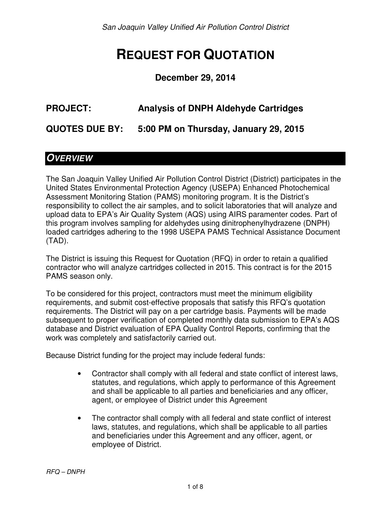San Joaquin Valley Unified Air Pollution Control District

# **REQUEST FOR QUOTATION**

#### **December 29, 2014**

# **PROJECT: Analysis of DNPH Aldehyde Cartridges**

**QUOTES DUE BY: 5:00 PM on Thursday, January 29, 2015** 

#### **OVERVIEW**

The San Joaquin Valley Unified Air Pollution Control District (District) participates in the United States Environmental Protection Agency (USEPA) Enhanced Photochemical Assessment Monitoring Station (PAMS) monitoring program. It is the District's responsibility to collect the air samples, and to solicit laboratories that will analyze and upload data to EPA's Air Quality System (AQS) using AIRS paramenter codes. Part of this program involves sampling for aldehydes using dinitrophenylhydrazene (DNPH) loaded cartridges adhering to the 1998 USEPA PAMS Technical Assistance Document (TAD).

The District is issuing this Request for Quotation (RFQ) in order to retain a qualified contractor who will analyze cartridges collected in 2015. This contract is for the 2015 PAMS season only.

To be considered for this project, contractors must meet the minimum eligibility requirements, and submit cost-effective proposals that satisfy this RFQ's quotation requirements. The District will pay on a per cartridge basis. Payments will be made subsequent to proper verification of completed monthly data submission to EPA's AQS database and District evaluation of EPA Quality Control Reports, confirming that the work was completely and satisfactorily carried out.

Because District funding for the project may include federal funds:

- Contractor shall comply with all federal and state conflict of interest laws, statutes, and regulations, which apply to performance of this Agreement and shall be applicable to all parties and beneficiaries and any officer, agent, or employee of District under this Agreement
- The contractor shall comply with all federal and state conflict of interest laws, statutes, and regulations, which shall be applicable to all parties and beneficiaries under this Agreement and any officer, agent, or employee of District.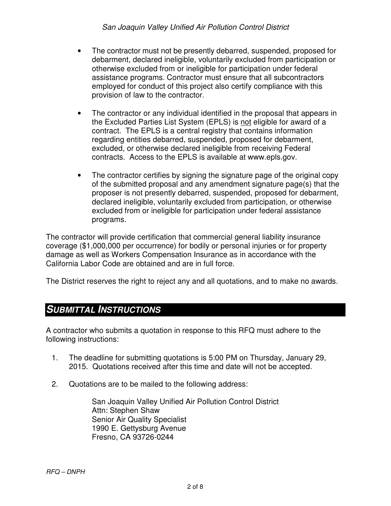- The contractor must not be presently debarred, suspended, proposed for debarment, declared ineligible, voluntarily excluded from participation or otherwise excluded from or ineligible for participation under federal assistance programs. Contractor must ensure that all subcontractors employed for conduct of this project also certify compliance with this provision of law to the contractor.
- The contractor or any individual identified in the proposal that appears in the Excluded Parties List System (EPLS) is not eligible for award of a contract. The EPLS is a central registry that contains information regarding entities debarred, suspended, proposed for debarment, excluded, or otherwise declared ineligible from receiving Federal contracts. Access to the EPLS is available at www.epls.gov.
- The contractor certifies by signing the signature page of the original copy of the submitted proposal and any amendment signature page(s) that the proposer is not presently debarred, suspended, proposed for debarment, declared ineligible, voluntarily excluded from participation, or otherwise excluded from or ineligible for participation under federal assistance programs.

The contractor will provide certification that commercial general liability insurance coverage (\$1,000,000 per occurrence) for bodily or personal injuries or for property damage as well as Workers Compensation Insurance as in accordance with the California Labor Code are obtained and are in full force.

The District reserves the right to reject any and all quotations, and to make no awards.

### **SUBMITTAL INSTRUCTIONS**

A contractor who submits a quotation in response to this RFQ must adhere to the following instructions:

- 1. The deadline for submitting quotations is 5:00 PM on Thursday, January 29, 2015. Quotations received after this time and date will not be accepted.
- 2. Quotations are to be mailed to the following address:

San Joaquin Valley Unified Air Pollution Control District Attn: Stephen Shaw Senior Air Quality Specialist 1990 E. Gettysburg Avenue Fresno, CA 93726-0244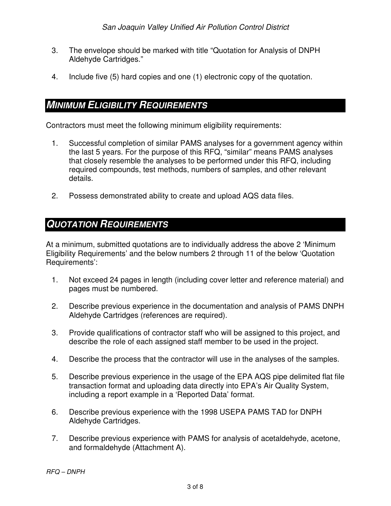- 3. The envelope should be marked with title "Quotation for Analysis of DNPH Aldehyde Cartridges."
- 4. Include five (5) hard copies and one (1) electronic copy of the quotation.

#### **MINIMUM ELIGIBILITY REQUIREMENTS**

Contractors must meet the following minimum eligibility requirements:

- 1. Successful completion of similar PAMS analyses for a government agency within the last 5 years. For the purpose of this RFQ, "similar" means PAMS analyses that closely resemble the analyses to be performed under this RFQ, including required compounds, test methods, numbers of samples, and other relevant details.
- 2. Possess demonstrated ability to create and upload AQS data files.

# **QUOTATION REQUIREMENTS**

At a minimum, submitted quotations are to individually address the above 2 'Minimum Eligibility Requirements' and the below numbers 2 through 11 of the below 'Quotation Requirements':

- 1. Not exceed 24 pages in length (including cover letter and reference material) and pages must be numbered.
- 2. Describe previous experience in the documentation and analysis of PAMS DNPH Aldehyde Cartridges (references are required).
- 3. Provide qualifications of contractor staff who will be assigned to this project, and describe the role of each assigned staff member to be used in the project.
- 4. Describe the process that the contractor will use in the analyses of the samples.
- 5. Describe previous experience in the usage of the EPA AQS pipe delimited flat file transaction format and uploading data directly into EPA's Air Quality System, including a report example in a 'Reported Data' format.
- 6. Describe previous experience with the 1998 USEPA PAMS TAD for DNPH Aldehyde Cartridges.
- 7. Describe previous experience with PAMS for analysis of acetaldehyde, acetone, and formaldehyde (Attachment A).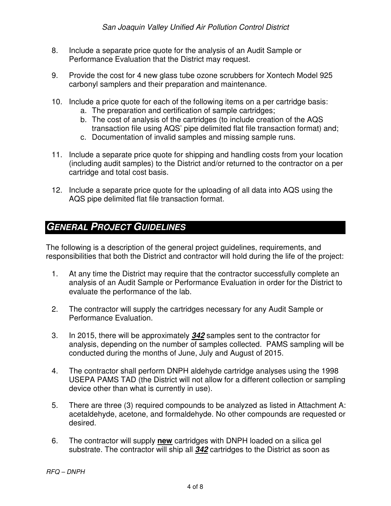- 8. Include a separate price quote for the analysis of an Audit Sample or Performance Evaluation that the District may request.
- 9. Provide the cost for 4 new glass tube ozone scrubbers for Xontech Model 925 carbonyl samplers and their preparation and maintenance.
- 10. Include a price quote for each of the following items on a per cartridge basis:
	- a. The preparation and certification of sample cartridges;
	- b. The cost of analysis of the cartridges (to include creation of the AQS transaction file using AQS' pipe delimited flat file transaction format) and;
	- c. Documentation of invalid samples and missing sample runs.
- 11. Include a separate price quote for shipping and handling costs from your location (including audit samples) to the District and/or returned to the contractor on a per cartridge and total cost basis.
- 12. Include a separate price quote for the uploading of all data into AQS using the AQS pipe delimited flat file transaction format.

# **GENERAL PROJECT GUIDELINES**

The following is a description of the general project guidelines, requirements, and responsibilities that both the District and contractor will hold during the life of the project:

- 1. At any time the District may require that the contractor successfully complete an analysis of an Audit Sample or Performance Evaluation in order for the District to evaluate the performance of the lab.
- 2. The contractor will supply the cartridges necessary for any Audit Sample or Performance Evaluation.
- 3. In 2015, there will be approximately **342** samples sent to the contractor for analysis, depending on the number of samples collected. PAMS sampling will be conducted during the months of June, July and August of 2015.
- 4. The contractor shall perform DNPH aldehyde cartridge analyses using the 1998 USEPA PAMS TAD (the District will not allow for a different collection or sampling device other than what is currently in use).
- 5. There are three (3) required compounds to be analyzed as listed in Attachment A: acetaldehyde, acetone, and formaldehyde. No other compounds are requested or desired.
- 6. The contractor will supply **new** cartridges with DNPH loaded on a silica gel substrate. The contractor will ship all **342** cartridges to the District as soon as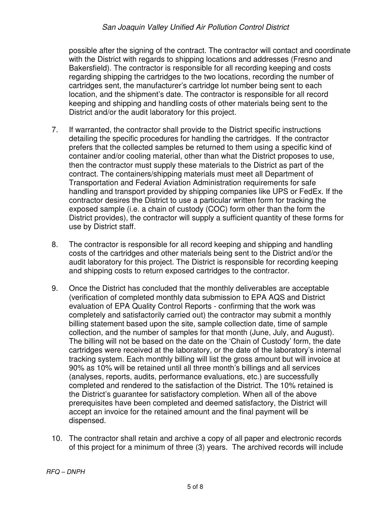#### San Joaquin Valley Unified Air Pollution Control District

possible after the signing of the contract. The contractor will contact and coordinate with the District with regards to shipping locations and addresses (Fresno and Bakersfield). The contractor is responsible for all recording keeping and costs regarding shipping the cartridges to the two locations, recording the number of cartridges sent, the manufacturer's cartridge lot number being sent to each location, and the shipment's date. The contractor is responsible for all record keeping and shipping and handling costs of other materials being sent to the District and/or the audit laboratory for this project.

- 7. If warranted, the contractor shall provide to the District specific instructions detailing the specific procedures for handling the cartridges. If the contractor prefers that the collected samples be returned to them using a specific kind of container and/or cooling material, other than what the District proposes to use, then the contractor must supply these materials to the District as part of the contract. The containers/shipping materials must meet all Department of Transportation and Federal Aviation Administration requirements for safe handling and transport provided by shipping companies like UPS or FedEx. If the contractor desires the District to use a particular written form for tracking the exposed sample (i.e. a chain of custody (COC) form other than the form the District provides), the contractor will supply a sufficient quantity of these forms for use by District staff.
- 8. The contractor is responsible for all record keeping and shipping and handling costs of the cartridges and other materials being sent to the District and/or the audit laboratory for this project. The District is responsible for recording keeping and shipping costs to return exposed cartridges to the contractor.
- 9. Once the District has concluded that the monthly deliverables are acceptable (verification of completed monthly data submission to EPA AQS and District evaluation of EPA Quality Control Reports - confirming that the work was completely and satisfactorily carried out) the contractor may submit a monthly billing statement based upon the site, sample collection date, time of sample collection, and the number of samples for that month (June, July, and August). The billing will not be based on the date on the 'Chain of Custody' form, the date cartridges were received at the laboratory, or the date of the laboratory's internal tracking system. Each monthly billing will list the gross amount but will invoice at 90% as 10% will be retained until all three month's billings and all services (analyses, reports, audits, performance evaluations, etc.) are successfully completed and rendered to the satisfaction of the District. The 10% retained is the District's guarantee for satisfactory completion. When all of the above prerequisites have been completed and deemed satisfactory, the District will accept an invoice for the retained amount and the final payment will be dispensed.
- 10. The contractor shall retain and archive a copy of all paper and electronic records of this project for a minimum of three (3) years. The archived records will include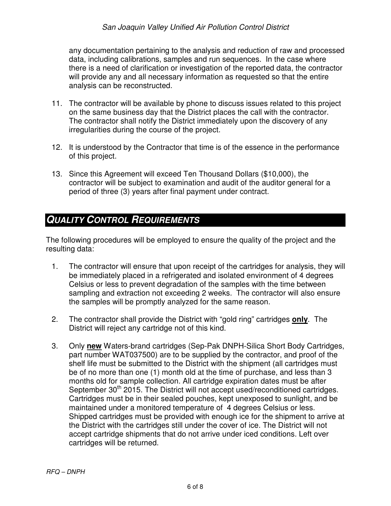any documentation pertaining to the analysis and reduction of raw and processed data, including calibrations, samples and run sequences. In the case where there is a need of clarification or investigation of the reported data, the contractor will provide any and all necessary information as requested so that the entire analysis can be reconstructed.

- 11. The contractor will be available by phone to discuss issues related to this project on the same business day that the District places the call with the contractor. The contractor shall notify the District immediately upon the discovery of any irregularities during the course of the project.
- 12. It is understood by the Contractor that time is of the essence in the performance of this project.
- 13. Since this Agreement will exceed Ten Thousand Dollars (\$10,000), the contractor will be subject to examination and audit of the auditor general for a period of three (3) years after final payment under contract.

# **QUALITY CONTROL REQUIREMENTS**

The following procedures will be employed to ensure the quality of the project and the resulting data:

- 1. The contractor will ensure that upon receipt of the cartridges for analysis, they will be immediately placed in a refrigerated and isolated environment of 4 degrees Celsius or less to prevent degradation of the samples with the time between sampling and extraction not exceeding 2 weeks. The contractor will also ensure the samples will be promptly analyzed for the same reason.
- 2. The contractor shall provide the District with "gold ring" cartridges **only**. The District will reject any cartridge not of this kind.
- 3. Only **new** Waters-brand cartridges (Sep-Pak DNPH-Silica Short Body Cartridges, part number WAT037500) are to be supplied by the contractor, and proof of the shelf life must be submitted to the District with the shipment (all cartridges must be of no more than one (1) month old at the time of purchase, and less than 3 months old for sample collection. All cartridge expiration dates must be after September 30<sup>th</sup> 2015. The District will not accept used/reconditioned cartridges. Cartridges must be in their sealed pouches, kept unexposed to sunlight, and be maintained under a monitored temperature of 4 degrees Celsius or less. Shipped cartridges must be provided with enough ice for the shipment to arrive at the District with the cartridges still under the cover of ice. The District will not accept cartridge shipments that do not arrive under iced conditions. Left over cartridges will be returned.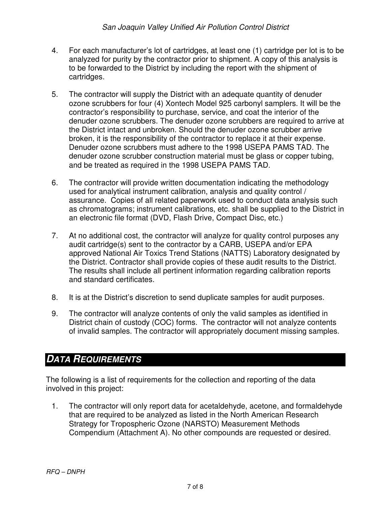- 4. For each manufacturer's lot of cartridges, at least one (1) cartridge per lot is to be analyzed for purity by the contractor prior to shipment. A copy of this analysis is to be forwarded to the District by including the report with the shipment of cartridges.
- 5. The contractor will supply the District with an adequate quantity of denuder ozone scrubbers for four (4) Xontech Model 925 carbonyl samplers. It will be the contractor's responsibility to purchase, service, and coat the interior of the denuder ozone scrubbers. The denuder ozone scrubbers are required to arrive at the District intact and unbroken. Should the denuder ozone scrubber arrive broken, it is the responsibility of the contractor to replace it at their expense. Denuder ozone scrubbers must adhere to the 1998 USEPA PAMS TAD. The denuder ozone scrubber construction material must be glass or copper tubing, and be treated as required in the 1998 USEPA PAMS TAD.
- 6. The contractor will provide written documentation indicating the methodology used for analytical instrument calibration, analysis and quality control / assurance. Copies of all related paperwork used to conduct data analysis such as chromatograms; instrument calibrations, etc. shall be supplied to the District in an electronic file format (DVD, Flash Drive, Compact Disc, etc.)
- 7. At no additional cost, the contractor will analyze for quality control purposes any audit cartridge(s) sent to the contractor by a CARB, USEPA and/or EPA approved National Air Toxics Trend Stations (NATTS) Laboratory designated by the District. Contractor shall provide copies of these audit results to the District. The results shall include all pertinent information regarding calibration reports and standard certificates.
- 8. It is at the District's discretion to send duplicate samples for audit purposes.
- 9. The contractor will analyze contents of only the valid samples as identified in District chain of custody (COC) forms. The contractor will not analyze contents of invalid samples. The contractor will appropriately document missing samples.

# **DATA REQUIREMENTS**

The following is a list of requirements for the collection and reporting of the data involved in this project:

1. The contractor will only report data for acetaldehyde, acetone, and formaldehyde that are required to be analyzed as listed in the North American Research Strategy for Tropospheric Ozone (NARSTO) Measurement Methods Compendium (Attachment A). No other compounds are requested or desired.